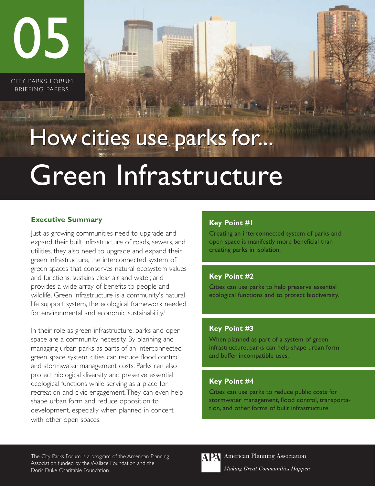05

CITY PARKS FORUM BRIEFING PAPERS

# Green Infrastructure How cities use parks for...

## **Executive Summary**

Just as growing communities need to upgrade and expand their built infrastructure of roads, sewers, and utilities, they also need to upgrade and expand their green infrastructure, the interconnected system of green spaces that conserves natural ecosystem values and functions, sustains clear air and water, and provides a wide array of benefits to people and wildlife. Green infrastructure is a community's natural life support system, the ecological framework needed for environmental and economic sustainability.<sup>1</sup>

In their role as green infrastructure, parks and open space are a community necessity. By planning and managing urban parks as parts of an interconnected green space system, cities can reduce flood control and stormwater management costs. Parks can also protect biological diversity and preserve essential ecological functions while serving as a place for recreation and civic engagement.They can even help shape urban form and reduce opposition to development, especially when planned in concert with other open spaces.

## **Key Point #1**

Creating an interconnected system of parks and open space is manifestly more beneficial than creating parks in isolation.

## **Key Point #2**

Cities can use parks to help preserve essential ecological functions and to protect biodiversity.

### **Key Point #3**

When planned as part of a system of green infrastructure, parks can help shape urban form and buffer incompatible uses.

### **Key Point #4**

Cities can use parks to reduce public costs for stormwater management, flood control, transportation, and other forms of built infrastructure.

The City Parks Forum is a program of the American Planning Association funded by the Wallace Foundation and the Doris Duke Charitable Foundation



American Planning Association *Making Great Communities Happen*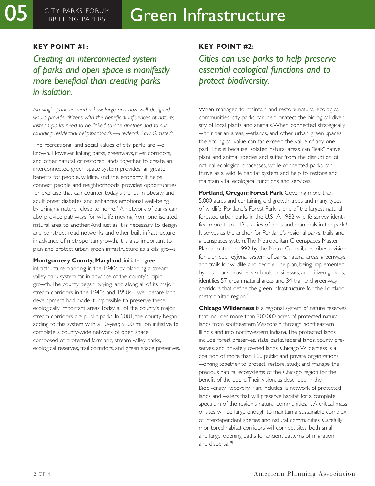#### **KEY POINT #1:**

# *Creating an interconnected system of parks and open space is manifestly more beneficial than creating parks in isolation.*

*No single park, no matter how large and how well designed, would provide citizens with the beneficial influences of nature; instead parks need to be linked to one another and to surrounding residential neighborhoods.—Frederick Law Olmsted2*

The recreational and social values of city parks are well known. However, linking parks, greenways, river corridors, and other natural or restored lands together to create an interconnected green space system provides far greater benefits for people, wildlife, and the economy. It helps connect people and neighborhoods, provides opportunities for exercise that can counter today's trends in obesity and adult onset diabetes, and enhances emotional well-being by bringing nature "close to home." A network of parks can also provide pathways for wildlife moving from one isolated natural area to another. And just as it is necessary to design and construct road networks and other built infrastructure in advance of metropolitan growth, it is also important to plan and protect urban green infrastructure as a city grows.

**Montgomery County, Maryland, initiated green** infrastructure planning in the 1940s by planning a stream valley park system far in advance of the county's rapid growth.The county began buying land along all of its major stream corridors in the 1940s and 1950s—well before land development had made it impossible to preserve these ecologically important areas.Today all of the county's major stream corridors are public parks. In 2001, the county began adding to this system with a 10-year, \$100 million initiative to complete a county-wide network of open space composed of protected farmland, stream valley parks, ecological reserves, trail corridors, and green space preserves.

#### **KEY POINT #2:**

*Cities can use parks to help preserve essential ecological functions and to protect biodiversity.*

When managed to maintain and restore natural ecological communities, city parks can help protect the biological diversity of local plants and animals.When connected strategically with riparian areas, wetlands, and other urban green spaces, the ecological value can far exceed the value of any one park.This is because isolated natural areas can "leak" native plant and animal species and suffer from the disruption of natural ecological processes, while connected parks can thrive as a wildlife habitat system and help to restore and maintain vital ecological functions and services.

**Portland, Oregon: Forest Park**. Covering more than 5,000 acres and containing old growth trees and many types of wildlife, Portland's Forest Park is one of the largest natural forested urban parks in the U.S. A 1982 wildlife survey identified more than 112 species of birds and mammals in the park.<sup>3</sup> It serves as the anchor for Portland's regional parks, trails, and greenspaces system.The Metropolitan Greenspaces Master Plan, adopted in 1992 by the Metro Council, describes a vision for a unique regional system of parks, natural areas, greenways, and trails for wildlife and people.The plan, being implemented by local park providers, schools, businesses, and citizen groups, identifies 57 urban natural areas and 34 trail and greenway corridors that define the green infrastructure for the Portland metropolitan region.4

**Chicago Wilderness** is a regional system of nature reserves that includes more than 200,000 acres of protected natural lands from southeastern Wisconsin through northeastern Illinois and into northwestern Indiana.The protected lands include forest preserves, state parks, federal lands, county preserves, and privately owned lands. Chicago Wilderness is a coalition of more than 160 public and private organizations working together to protect, restore, study, and manage the precious natural ecosystems of the Chicago region for the benefit of the public.Their vision, as described in the Biodiversity Recovery Plan, includes "a network of protected lands and waters that will preserve habitat for a complete spectrum of the region's natural communities. . . A critical mass of sites will be large enough to maintain a sustainable complex of interdependent species and natural communities. Carefully monitored habitat corridors will connect sites, both small and large, opening paths for ancient patterns of migration and dispersal."5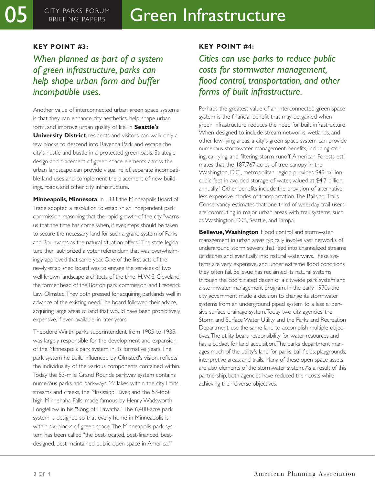#### **KEY POINT #3:**

*When planned as part of a system of green infrastructure, parks can help shape urban form and buffer incompatible uses.*

Another value of interconnected urban green space systems is that they can enhance city aesthetics, help shape urban form, and improve urban quality of life. In **Seattle's University District**, residents and visitors can walk only a few blocks to descend into Ravenna Park and escape the city's hustle and bustle in a protected green oasis. Strategic design and placement of green space elements across the urban landscape can provide visual relief, separate incompatible land uses and complement the placement of new buildings, roads, and other city infrastructure.

**Minneapolis, Minnesota**. In 1883, the Minneapolis Board of Trade adopted a resolution to establish an independent park commission, reasoning that the rapid growth of the city "warns us that the time has come when, if ever, steps should be taken to secure the necessary land for such a grand system of Parks and Boulevards as the natural situation offers." The state legislature then authorized a voter referendum that was overwhelmingly approved that same year. One of the first acts of the newly established board was to engage the services of two well-known landscape architects of the time, H.W. S. Cleveland, the former head of the Boston park commission, and Frederick Law Olmsted.They both pressed for acquiring parklands well in advance of the existing need.The board followed their advice, acquiring large areas of land that would have been prohibitively expensive, if even available, in later years.

Theodore Wirth, parks superintendent from 1905 to 1935, was largely responsible for the development and expansion of the Minneapolis park system in its formative years.The park system he built, influenced by Olmsted's vision, reflects the individuality of the various components contained within. Today the 53-mile Grand Rounds parkway system contains numerous parks and parkways, 22 lakes within the city limits, streams and creeks, the Mississippi River, and the 53-foot high Minnehaha Falls, made famous by Henry Wadsworth Longfellow in his "Song of Hiawatha." The 6,400-acre park system is designed so that every home in Minneapolis is within six blocks of green space.The Minneapolis park system has been called "the best-located, best-financed, bestdesigned, best maintained public open space in America."6

#### **KEY POINT #4:**

# *Cities can use parks to reduce public costs for stormwater management, flood control, transportation, and other forms of built infrastructure.*

Perhaps the greatest value of an interconnected green space system is the financial benefit that may be gained when green infrastructure reduces the need for built infrastructure. When designed to include stream networks, wetlands, and other low-lying areas, a city's green space system can provide numerous stormwater management benefits, including storing, carrying, and filtering storm runoff. American Forests estimates that the 187,767 acres of tree canopy in the Washington, D.C., metropolitan region provides 949 million cubic feet in avoided storage of water, valued at \$4.7 billion annually.<sup>7</sup> Other benefits include the provision of alternative, less expensive modes of transportation.The Rails-to-Trails Conservancy estimates that one-third of weekday trail users are commuting in major urban areas with trail systems, such as Washington, D.C., Seattle, and Tampa.

**Bellevue,Washington**. Flood control and stormwater management in urban areas typically involve vast networks of underground storm sewers that feed into channelized streams or ditches and eventually into natural waterways.These systems are very expensive, and under extreme flood conditions they often fail. Bellevue has reclaimed its natural systems through the coordinated design of a citywide park system and a stormwater management program. In the early 1970s the city government made a decision to change its stormwater systems from an underground piped system to a less expensive surface drainage system.Today two city agencies, the Storm and Surface Water Utility and the Parks and Recreation Department, use the same land to accomplish multiple objectives.The utility bears responsibility for water resources and has a budget for land acquisition.The parks department manages much of the utility's land for parks, ball fields, playgrounds, interpretive areas, and trails. Many of these open space assets are also elements of the stormwater system. As a result of this partnership, both agencies have reduced their costs while achieving their diverse objectives.